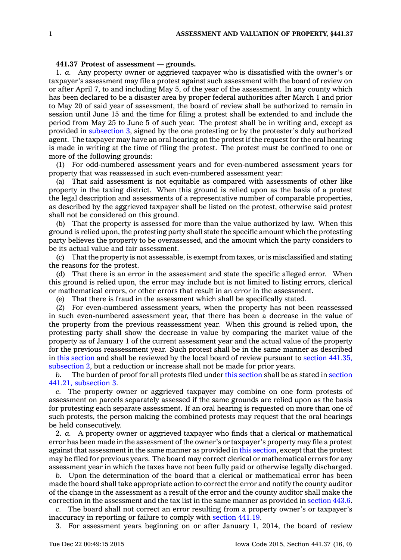## **441.37 Protest of assessment —grounds.**

1. *a.* Any property owner or aggrieved taxpayer who is dissatisfied with the owner's or taxpayer's assessment may file <sup>a</sup> protest against such assessment with the board of review on or after April 7, to and including May 5, of the year of the assessment. In any county which has been declared to be <sup>a</sup> disaster area by proper federal authorities after March 1 and prior to May 20 of said year of assessment, the board of review shall be authorized to remain in session until June 15 and the time for filing <sup>a</sup> protest shall be extended to and include the period from May 25 to June 5 of such year. The protest shall be in writing and, except as provided in [subsection](https://www.legis.iowa.gov/docs/code//441.37.pdf) 3, signed by the one protesting or by the protester's duly authorized agent. The taxpayer may have an oral hearing on the protest if the request for the oral hearing is made in writing at the time of filing the protest. The protest must be confined to one or more of the following grounds:

(1) For odd-numbered assessment years and for even-numbered assessment years for property that was reassessed in such even-numbered assessment year:

(a) That said assessment is not equitable as compared with assessments of other like property in the taxing district. When this ground is relied upon as the basis of <sup>a</sup> protest the legal description and assessments of <sup>a</sup> representative number of comparable properties, as described by the aggrieved taxpayer shall be listed on the protest, otherwise said protest shall not be considered on this ground.

(b) That the property is assessed for more than the value authorized by law. When this ground is relied upon, the protesting party shall state the specific amount which the protesting party believes the property to be overassessed, and the amount which the party considers to be its actual value and fair assessment.

(c) That the property is not assessable, is exempt from taxes, or is misclassified and stating the reasons for the protest.

(d) That there is an error in the assessment and state the specific alleged error. When this ground is relied upon, the error may include but is not limited to listing errors, clerical or mathematical errors, or other errors that result in an error in the assessment.

(e) That there is fraud in the assessment which shall be specifically stated.

(2) For even-numbered assessment years, when the property has not been reassessed in such even-numbered assessment year, that there has been <sup>a</sup> decrease in the value of the property from the previous reassessment year. When this ground is relied upon, the protesting party shall show the decrease in value by comparing the market value of the property as of January 1 of the current assessment year and the actual value of the property for the previous reassessment year. Such protest shall be in the same manner as described in this [section](https://www.legis.iowa.gov/docs/code//441.37.pdf) and shall be reviewed by the local board of review pursuant to section [441.35,](https://www.legis.iowa.gov/docs/code//441.35.pdf) [subsection](https://www.legis.iowa.gov/docs/code//441.35.pdf) 2, but <sup>a</sup> reduction or increase shall not be made for prior years.

*b.* The burden of proof for all protests filed under this [section](https://www.legis.iowa.gov/docs/code//441.37.pdf) shall be as stated in [section](https://www.legis.iowa.gov/docs/code//441.21.pdf) 441.21, [subsection](https://www.legis.iowa.gov/docs/code//441.21.pdf) 3.

*c.* The property owner or aggrieved taxpayer may combine on one form protests of assessment on parcels separately assessed if the same grounds are relied upon as the basis for protesting each separate assessment. If an oral hearing is requested on more than one of such protests, the person making the combined protests may request that the oral hearings be held consecutively.

2. *a.* A property owner or aggrieved taxpayer who finds that <sup>a</sup> clerical or mathematical error has been made in the assessment of the owner's or taxpayer's property may file <sup>a</sup> protest against that assessment in the same manner as provided in this [section](https://www.legis.iowa.gov/docs/code//441.37.pdf), except that the protest may be filed for previous years. The board may correct clerical or mathematical errors for any assessment year in which the taxes have not been fully paid or otherwise legally discharged.

*b.* Upon the determination of the board that <sup>a</sup> clerical or mathematical error has been made the board shall take appropriate action to correct the error and notify the county auditor of the change in the assessment as <sup>a</sup> result of the error and the county auditor shall make the correction in the assessment and the tax list in the same manner as provided in [section](https://www.legis.iowa.gov/docs/code//443.6.pdf) 443.6.

*c.* The board shall not correct an error resulting from <sup>a</sup> property owner's or taxpayer's inaccuracy in reporting or failure to comply with [section](https://www.legis.iowa.gov/docs/code//441.19.pdf) 441.19.

3. For assessment years beginning on or after January 1, 2014, the board of review